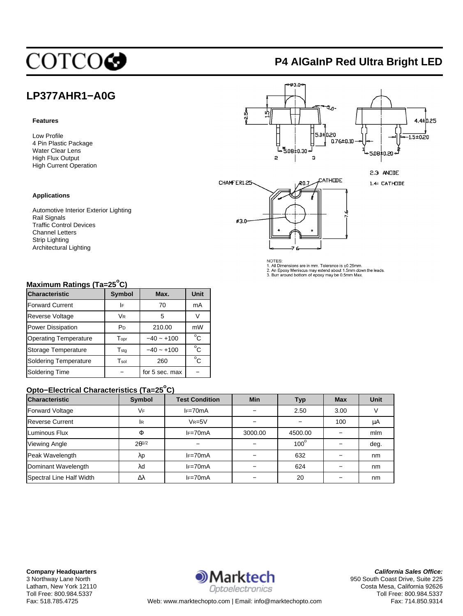# COTCOC

# **P4 AlGaInP Red Ultra Bright LED**

## **LP377AHR1−A0G**

#### **Features**

Low Profile 4 Pin Plastic Package Water Clear Lens High Flux Output High Current Operation

#### **Applications**

Automotive Interior Exterior Lighting Rail Signals Traffic Control Devices Channel Letters Strip Lighting Architectural Lighting



NOTES:<br>1. All Dimensions are in mm. Tolerance is ±0.25mm.<br>2. An Epoxy Meniscus may extend about 1.5mm down the leads.<br>3. Burr around bottom of epoxy may be 0.5mm Max.

## **Maximum Ratings (Ta=25<sup>o</sup> C)**

| <b>Characteristic</b>        | <b>Symbol</b>  | Max.           | Unit         |
|------------------------------|----------------|----------------|--------------|
| <b>Forward Current</b>       | I۴             | 70             | mA           |
| <b>Reverse Voltage</b>       | <b>VR</b>      | 5              | V            |
| Power Dissipation            | P <sub>D</sub> | 210.00         | mW           |
| <b>Operating Temperature</b> | Topr           | $-40 - +100$   | $^{\circ}$ C |
| Storage Temperature          | $T_{\sf stq}$  | $-40 - +100$   | $^{\circ}$ C |
| Soldering Temperature        | Tsol           | 260            | $^{\circ}$ C |
| <b>Soldering Time</b>        |                | for 5 sec. max |              |

## **Opto−Electrical Characteristics (Ta=25<sup>o</sup> C)**

| <b>Characteristic</b>    | Symbol          | <b>Test Condition</b> | <b>Min</b> | Typ         | <b>Max</b> | <b>Unit</b> |
|--------------------------|-----------------|-----------------------|------------|-------------|------------|-------------|
| <b>Forward Voltage</b>   | VF              | $I = 70mA$            |            | 2.50        | 3.00       |             |
| <b>Reverse Current</b>   | ΙR              | $V_R = 5V$            |            |             | 100        | μA          |
| Luminous Flux            | Φ               | $IF=70mA$             | 3000.00    | 4500.00     |            | mlm         |
| <b>Viewing Angle</b>     | $2\theta^{1/2}$ |                       |            | $100^\circ$ |            | deg.        |
| Peak Wavelength          | λp              | $IF=70mA$             |            | 632         |            | nm          |
| Dominant Wavelength      | λd              | $IF=70mA$             |            | 624         |            | nm          |
| Spectral Line Half Width | Δλ              | $IF=70mA$             |            | 20          |            | nm          |

**Company Headquarters** 3 Northway Lane North Latham, New York 12110 Toll Free: 800.984.5337



**California Sales Office:** 950 South Coast Drive, Suite 225 Costa Mesa, California 92626 Toll Free: 800.984.5337 Fax: 714.850.9314

Fax: 518.785.4725 Web: www.marktechopto.com | Email: info@marktechopto.com